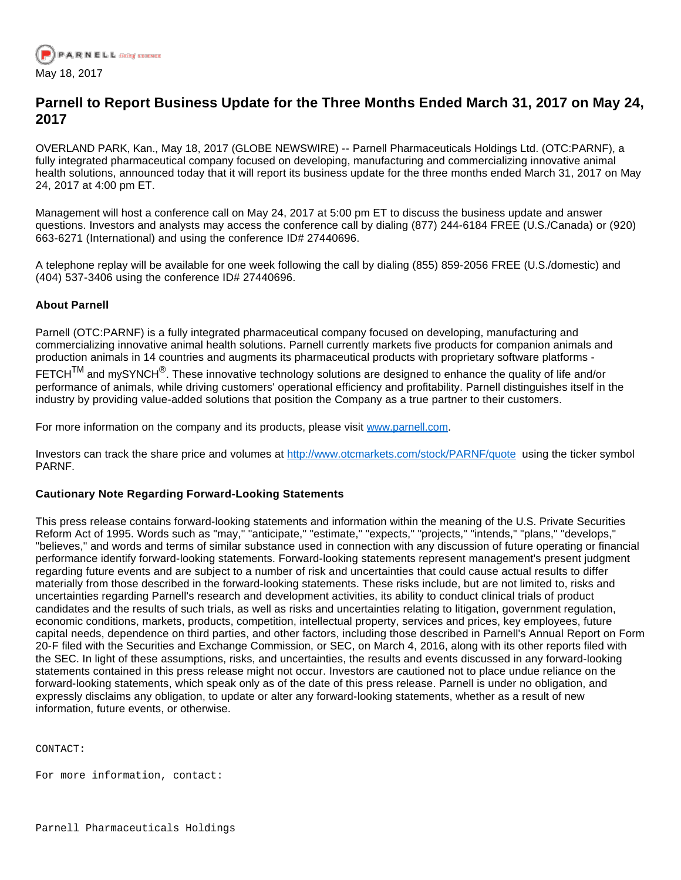

## **Parnell to Report Business Update for the Three Months Ended March 31, 2017 on May 24, 2017**

OVERLAND PARK, Kan., May 18, 2017 (GLOBE NEWSWIRE) -- Parnell Pharmaceuticals Holdings Ltd. (OTC:PARNF), a fully integrated pharmaceutical company focused on developing, manufacturing and commercializing innovative animal health solutions, announced today that it will report its business update for the three months ended March 31, 2017 on May 24, 2017 at 4:00 pm ET.

Management will host a conference call on May 24, 2017 at 5:00 pm ET to discuss the business update and answer questions. Investors and analysts may access the conference call by dialing (877) 244-6184 FREE (U.S./Canada) or (920) 663-6271 (International) and using the conference ID# 27440696.

A telephone replay will be available for one week following the call by dialing (855) 859-2056 FREE (U.S./domestic) and (404) 537-3406 using the conference ID# 27440696.

## **About Parnell**

Parnell (OTC:PARNF) is a fully integrated pharmaceutical company focused on developing, manufacturing and commercializing innovative animal health solutions. Parnell currently markets five products for companion animals and production animals in 14 countries and augments its pharmaceutical products with proprietary software platforms -

FETCH $^{\text{\rm TM}}$  and mySYNCH $^{\textcircled{\textsc{}}}.$  These innovative technology solutions are designed to enhance the quality of life and/or performance of animals, while driving customers' operational efficiency and profitability. Parnell distinguishes itself in the industry by providing value-added solutions that position the Company as a true partner to their customers.

For more information on the company and its products, please visit [www.parnell.com.](https://www.globenewswire.com/Tracker?data=TUim2IUzvQBnV-FdiE93VgWR7jMTi9HLwyP9tFxUtjw1V8bB2CDSFGIsZPs8-Qhrf9bctjwVOO6BdD--yxVSEcDp62eWr7_Zsf097fmwBHVGwrcydL9DzzXdyjLt66md5JvgCDtR8H0XUAuhWAhuWHWaPA5Jnb5cV1dKkHGj0-1h7-U1XjF55nqz0rZaMcJ2cB1yTsxX1Mbe6RkE41Ao8w==)

Investors can track the share price and volumes at [http://www.otcmarkets.com/stock/PARNF/quote](https://www.globenewswire.com/Tracker?data=Np0iJBgtsqzfw8yuM39t_-DemP0u6kUTTMLamORTjoCMGk0gzDn6knGjQWRFxg6Zda2t2ca5buRgV9yDPZ5yGnbuwIajG6jw57UeXsa118sDUX1wuILYql9LS8I0ywuHpW9DoCIqVWoOejlFb733HQ==) using the ticker symbol PARNF.

## **Cautionary Note Regarding Forward-Looking Statements**

This press release contains forward-looking statements and information within the meaning of the U.S. Private Securities Reform Act of 1995. Words such as "may," "anticipate," "estimate," "expects," "projects," "intends," "plans," "develops," "believes," and words and terms of similar substance used in connection with any discussion of future operating or financial performance identify forward-looking statements. Forward-looking statements represent management's present judgment regarding future events and are subject to a number of risk and uncertainties that could cause actual results to differ materially from those described in the forward-looking statements. These risks include, but are not limited to, risks and uncertainties regarding Parnell's research and development activities, its ability to conduct clinical trials of product candidates and the results of such trials, as well as risks and uncertainties relating to litigation, government regulation, economic conditions, markets, products, competition, intellectual property, services and prices, key employees, future capital needs, dependence on third parties, and other factors, including those described in Parnell's Annual Report on Form 20-F filed with the Securities and Exchange Commission, or SEC, on March 4, 2016, along with its other reports filed with the SEC. In light of these assumptions, risks, and uncertainties, the results and events discussed in any forward-looking statements contained in this press release might not occur. Investors are cautioned not to place undue reliance on the forward-looking statements, which speak only as of the date of this press release. Parnell is under no obligation, and expressly disclaims any obligation, to update or alter any forward-looking statements, whether as a result of new information, future events, or otherwise.

CONTACT:

For more information, contact: